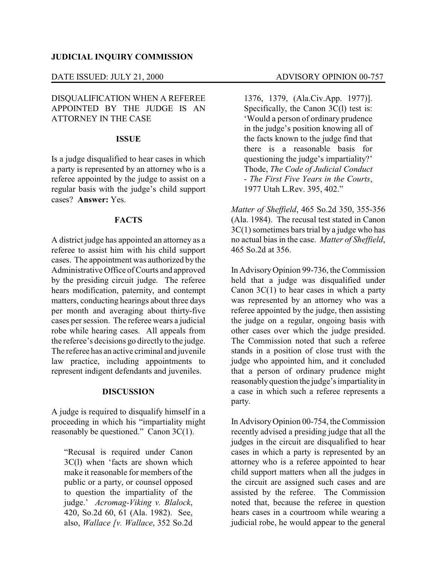#### DATE ISSUED: JULY 21, 2000 ADVISORY OPINION 00-757

# DISQUALIFICATION WHEN A REFEREE APPOINTED BY THE JUDGE IS AN ATTORNEY IN THE CASE

### **ISSUE**

Is a judge disqualified to hear cases in which a party is represented by an attorney who is a referee appointed by the judge to assist on a regular basis with the judge's child support cases? **Answer:** Yes.

## **FACTS**

A district judge has appointed an attorney as a referee to assist him with his child support cases. The appointment was authorized by the Administrative Office of Courts and approved by the presiding circuit judge. The referee hears modification, paternity, and contempt matters, conducting hearings about three days per month and averaging about thirty-five cases per session. The referee wears a judicial robe while hearing cases. All appeals from the referee's decisions go directly to the judge. The referee has an active criminal and juvenile law practice, including appointments to represent indigent defendants and juveniles.

#### **DISCUSSION**

A judge is required to disqualify himself in a proceeding in which his "impartiality might reasonably be questioned." Canon 3C(1).

"Recusal is required under Canon 3C(l) when 'facts are shown which make it reasonable for members of the public or a party, or counsel opposed to question the impartiality of the judge.' *Acromag-Viking v. Blalock*, 420, So.2d 60, 61 (Ala. 1982). See, also, *Wallace [v. Wallace*, 352 So.2d

1376, 1379, (Ala.Civ.App. 1977)]. Specifically, the Canon 3C(l) test is: 'Would a person of ordinary prudence in the judge's position knowing all of the facts known to the judge find that there is a reasonable basis for questioning the judge's impartiality?' Thode, *The Code of Judicial Conduct - The First Five Years in the Courts*, 1977 Utah L.Rev. 395, 402."

*Matter of Sheffield*, 465 So.2d 350, 355-356 (Ala. 1984). The recusal test stated in Canon 3C(1) sometimes bars trial by a judge who has no actual bias in the case. *Matter of Sheffield*, 465 So.2d at 356.

In AdvisoryOpinion 99-736, the Commission held that a judge was disqualified under Canon  $3C(1)$  to hear cases in which a party was represented by an attorney who was a referee appointed by the judge, then assisting the judge on a regular, ongoing basis with other cases over which the judge presided. The Commission noted that such a referee stands in a position of close trust with the judge who appointed him, and it concluded that a person of ordinary prudence might reasonablyquestion the judge's impartialityin a case in which such a referee represents a party.

In AdvisoryOpinion 00-754, the Commission recently advised a presiding judge that all the judges in the circuit are disqualified to hear cases in which a party is represented by an attorney who is a referee appointed to hear child support matters when all the judges in the circuit are assigned such cases and are assisted by the referee. The Commission noted that, because the referee in question hears cases in a courtroom while wearing a judicial robe, he would appear to the general